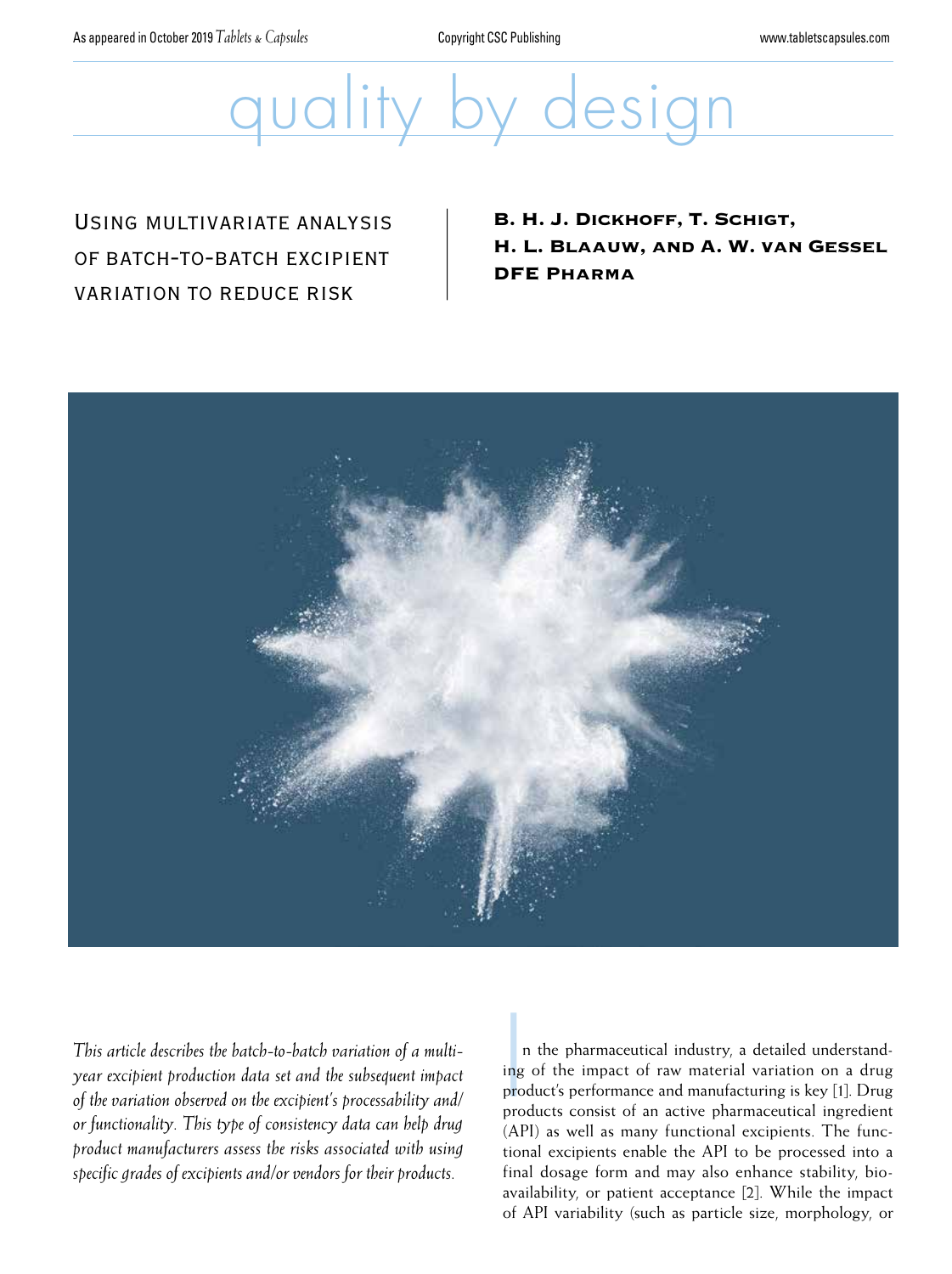As appeared in October 2019 *Tablets & Capsules* Copyright CSC Publishing www.tabletscapsules.com

# quality by design

# Using multivariate analysis of batch-to-batch excipient variation to reduce risk

B. H. J. Dickhoff, T. Schigt, H. L. Blaauw, and A. W. van Gessel DFE Pharma



*This article describes the batch-to-batch variation of a multiyear excipient production data set and the subsequent impact of the variation observed on the excipient's processability and/ or functionality. This type of consistency data can help drug product manufacturers assess the risks associated with using specific grades of excipients and/or vendors for their products.* 

Ing<br>Ing<br>Pre n the pharmaceutical industry, a detailed understanding of the impact of raw material variation on a drug product's performance and manufacturing is key [1]. Drug products consist of an active pharmaceutical ingredient (API) as well as many functional excipients. The functional excipients enable the API to be processed into a final dosage form and may also enhance stability, bioavailability, or patient acceptance [2]. While the impact of API variability (such as particle size, morphology, or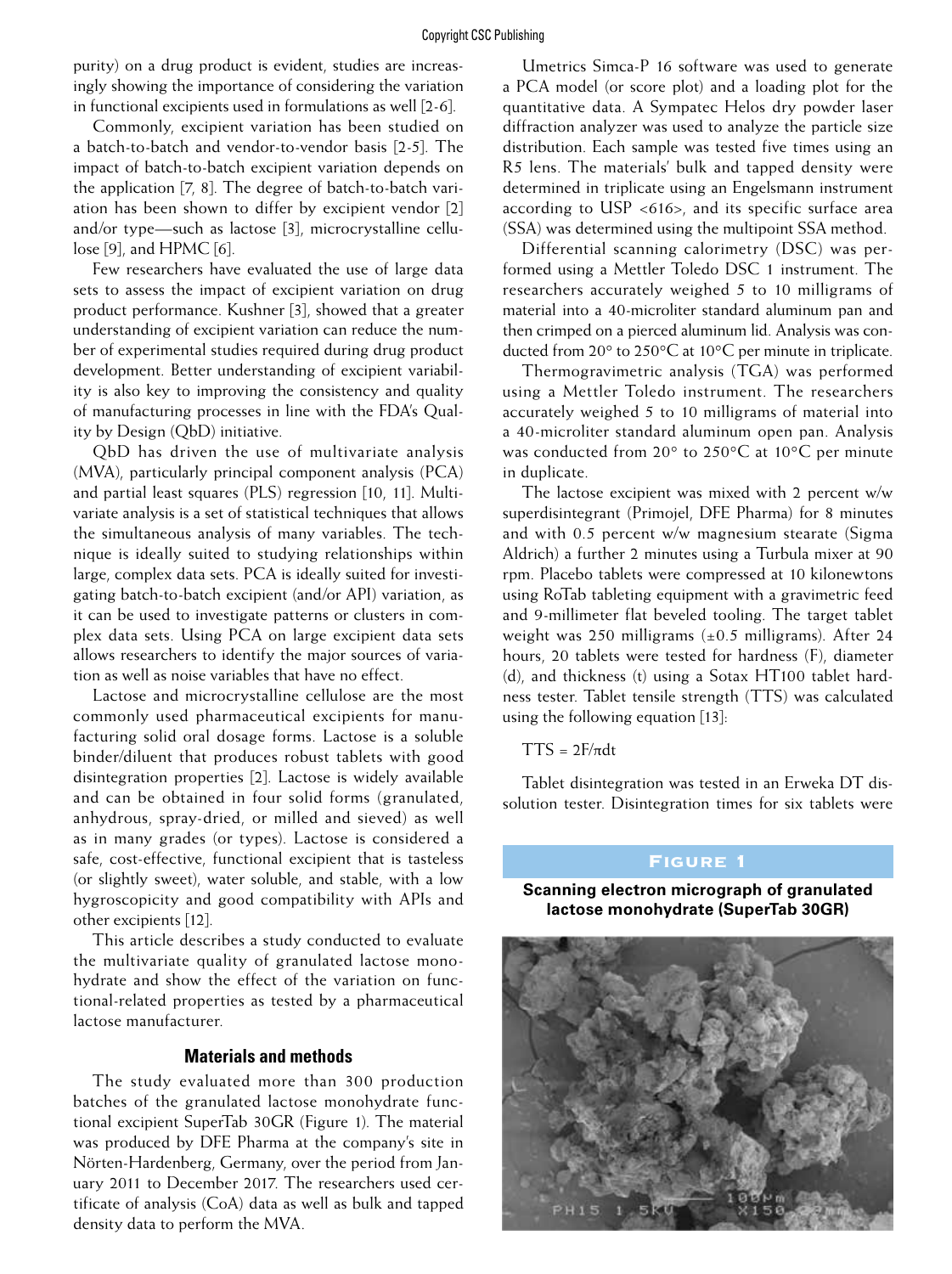purity) on a drug product is evident, studies are increasingly showing the importance of considering the variation in functional excipients used in formulations as well [2-6].

Commonly, excipient variation has been studied on a batch-to-batch and vendor-to-vendor basis [2-5]. The impact of batch-to-batch excipient variation depends on the application [7, 8]. The degree of batch-to-batch variation has been shown to differ by excipient vendor [2] and/or type—such as lactose [3], microcrystalline cellulose [9], and HPMC [6].

Few researchers have evaluated the use of large data sets to assess the impact of excipient variation on drug product performance. Kushner [3], showed that a greater understanding of excipient variation can reduce the number of experimental studies required during drug product development. Better understanding of excipient variability is also key to improving the consistency and quality of manufacturing processes in line with the FDA's Quality by Design (QbD) initiative.

QbD has driven the use of multivariate analysis (MVA), particularly principal component analysis (PCA) and partial least squares (PLS) regression [10, 11]. Multivariate analysis is a set of statistical techniques that allows the simultaneous analysis of many variables. The technique is ideally suited to studying relationships within large, complex data sets. PCA is ideally suited for investigating batch-to-batch excipient (and/or API) variation, as it can be used to investigate patterns or clusters in complex data sets. Using PCA on large excipient data sets allows researchers to identify the major sources of variation as well as noise variables that have no effect.

Lactose and microcrystalline cellulose are the most commonly used pharmaceutical excipients for manufacturing solid oral dosage forms. Lactose is a soluble binder/diluent that produces robust tablets with good disintegration properties [2]. Lactose is widely available and can be obtained in four solid forms (granulated, anhydrous, spray-dried, or milled and sieved) as well as in many grades (or types). Lactose is considered a safe, cost-effective, functional excipient that is tasteless (or slightly sweet), water soluble, and stable, with a low hygroscopicity and good compatibility with APIs and other excipients [12].

This article describes a study conducted to evaluate the multivariate quality of granulated lactose monohydrate and show the effect of the variation on functional-related properties as tested by a pharmaceutical lactose manufacturer.

#### **Materials and methods**

The study evaluated more than 300 production batches of the granulated lactose monohydrate functional excipient SuperTab 30GR (Figure 1). The material was produced by DFE Pharma at the company's site in Nörten-Hardenberg, Germany, over the period from January 2011 to December 2017. The researchers used certificate of analysis (CoA) data as well as bulk and tapped density data to perform the MVA.

Umetrics Simca-P 16 software was used to generate a PCA model (or score plot) and a loading plot for the quantitative data. A Sympatec Helos dry powder laser diffraction analyzer was used to analyze the particle size distribution. Each sample was tested five times using an R5 lens. The materials' bulk and tapped density were determined in triplicate using an Engelsmann instrument according to USP <616>, and its specific surface area (SSA) was determined using the multipoint SSA method.

Differential scanning calorimetry (DSC) was performed using a Mettler Toledo DSC 1 instrument. The researchers accurately weighed 5 to 10 milligrams of material into a 40-microliter standard aluminum pan and then crimped on a pierced aluminum lid. Analysis was conducted from 20° to 250°C at 10°C per minute in triplicate.

Thermogravimetric analysis (TGA) was performed using a Mettler Toledo instrument. The researchers accurately weighed 5 to 10 milligrams of material into a 40-microliter standard aluminum open pan. Analysis was conducted from 20° to 250°C at 10°C per minute in duplicate.

The lactose excipient was mixed with 2 percent w/w superdisintegrant (Primojel, DFE Pharma) for 8 minutes and with 0.5 percent w/w magnesium stearate (Sigma Aldrich) a further 2 minutes using a Turbula mixer at 90 rpm. Placebo tablets were compressed at 10 kilonewtons using RoTab tableting equipment with a gravimetric feed and 9-millimeter flat beveled tooling. The target tablet weight was 250 milligrams  $(\pm 0.5 \text{ milligrams})$ . After 24 hours, 20 tablets were tested for hardness (F), diameter (d), and thickness (t) using a Sotax HT100 tablet hardness tester. Tablet tensile strength (TTS) was calculated using the following equation [13]:

 $TTS = 2F/\pi dt$ 

Tablet disintegration was tested in an Erweka DT dissolution tester. Disintegration times for six tablets were

# Figure 1

**Scanning electron micrograph of granulated lactose monohydrate (SuperTab 30GR)**

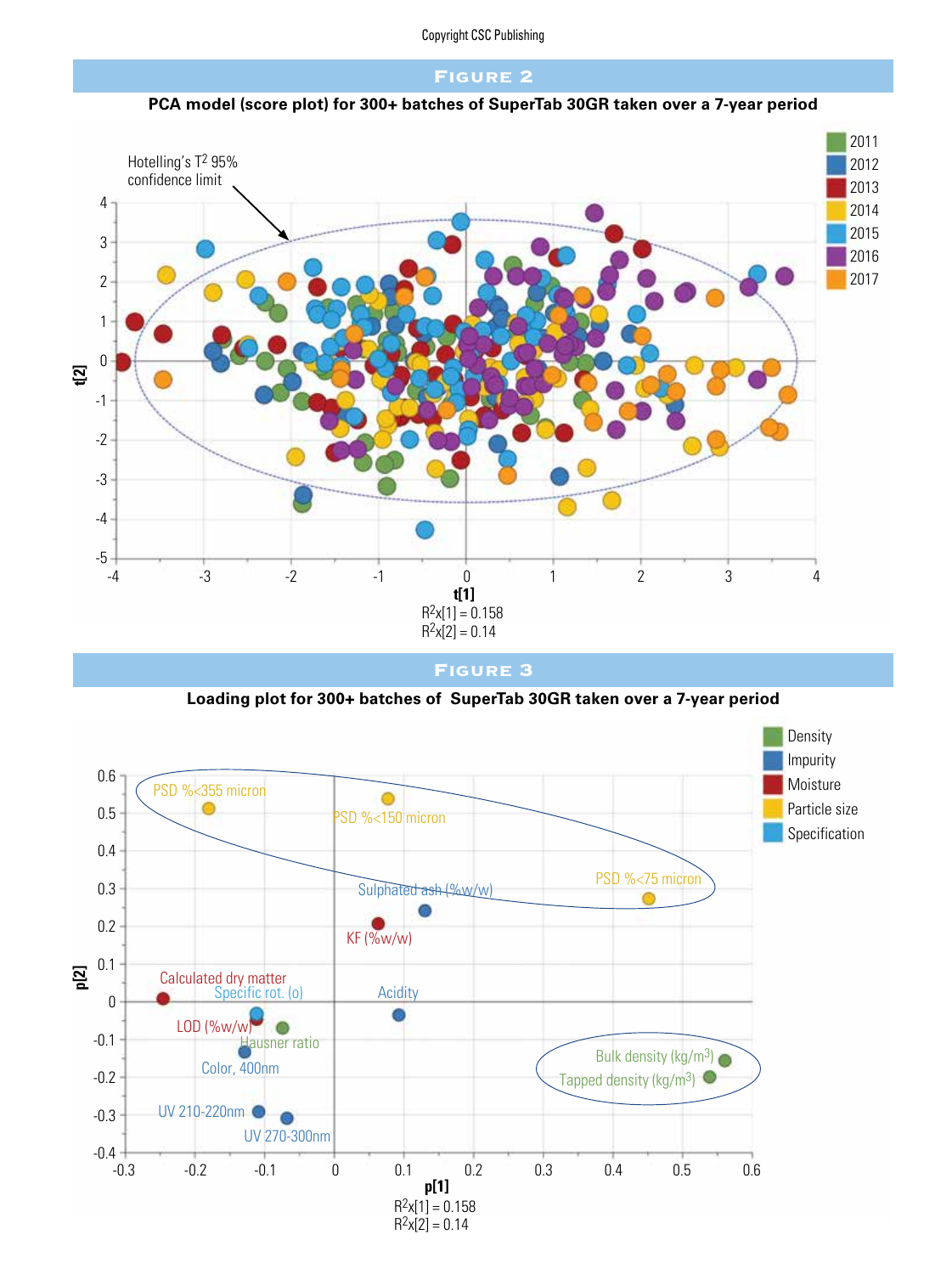#### Figure 2





Figure 3

**Loading plot for 300+ batches of SuperTab 30GR taken over a 7-year period**

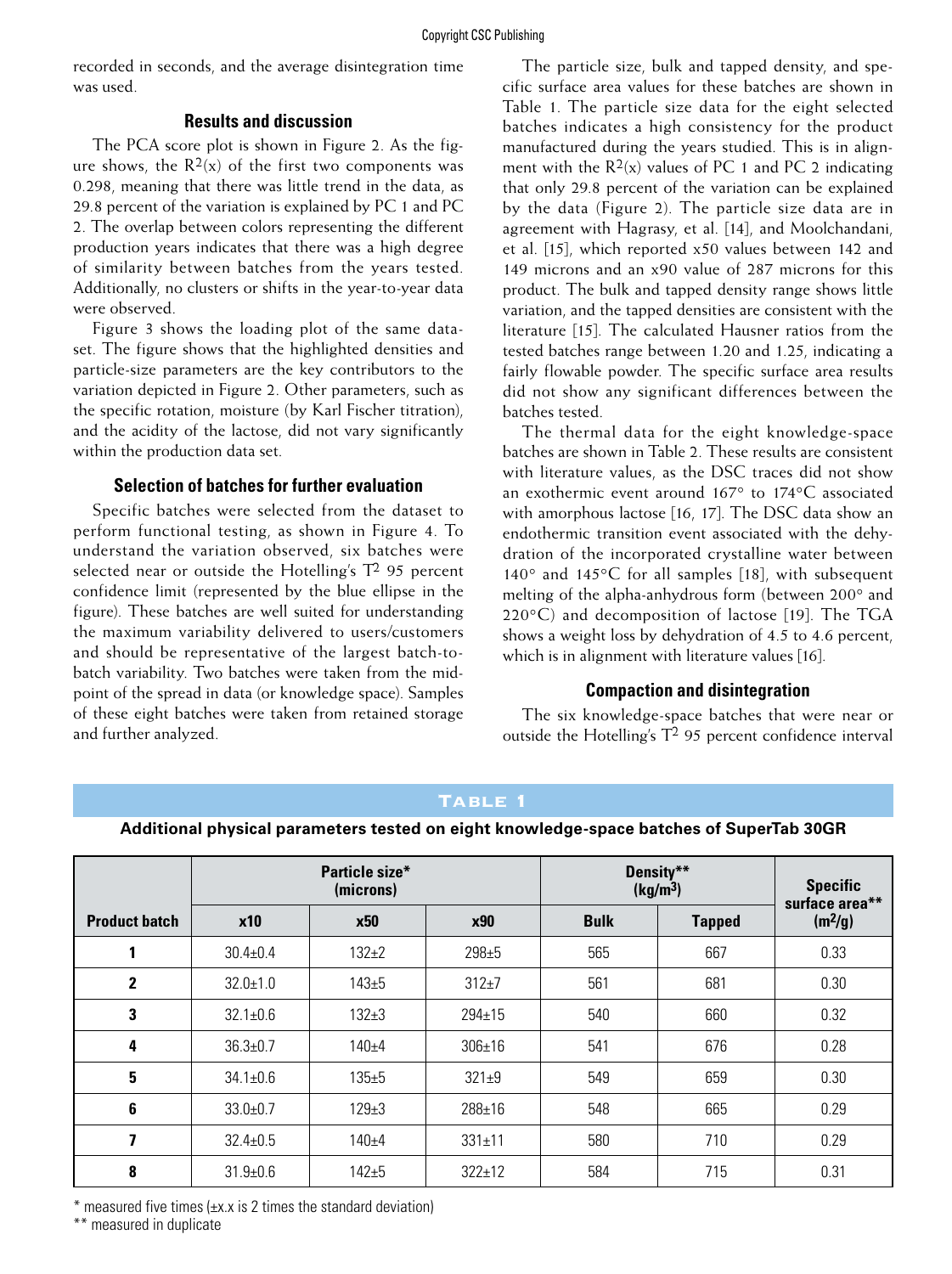recorded in seconds, and the average disintegration time was used.

#### **Results and discussion**

The PCA score plot is shown in Figure 2. As the figure shows, the  $R^2(x)$  of the first two components was 0.298, meaning that there was little trend in the data, as 29.8 percent of the variation is explained by PC 1 and PC 2. The overlap between colors representing the different production years indicates that there was a high degree of similarity between batches from the years tested. Additionally, no clusters or shifts in the year-to-year data were observed.

Figure 3 shows the loading plot of the same dataset. The figure shows that the highlighted densities and particle-size parameters are the key contributors to the variation depicted in Figure 2. Other parameters, such as the specific rotation, moisture (by Karl Fischer titration), and the acidity of the lactose, did not vary significantly within the production data set.

#### **Selection of batches for further evaluation**

Specific batches were selected from the dataset to perform functional testing, as shown in Figure 4. To understand the variation observed, six batches were selected near or outside the Hotelling's  $T^2$  95 percent confidence limit (represented by the blue ellipse in the figure). These batches are well suited for understanding the maximum variability delivered to users/customers and should be representative of the largest batch-tobatch variability. Two batches were taken from the midpoint of the spread in data (or knowledge space). Samples of these eight batches were taken from retained storage and further analyzed.

The particle size, bulk and tapped density, and specific surface area values for these batches are shown in Table 1. The particle size data for the eight selected batches indicates a high consistency for the product manufactured during the years studied. This is in alignment with the  $R^2(x)$  values of PC 1 and PC 2 indicating that only 29.8 percent of the variation can be explained by the data (Figure 2). The particle size data are in agreement with Hagrasy, et al. [14], and Moolchandani, et al. [15], which reported x50 values between 142 and 149 microns and an x90 value of 287 microns for this product. The bulk and tapped density range shows little variation, and the tapped densities are consistent with the literature [15]. The calculated Hausner ratios from the tested batches range between 1.20 and 1.25, indicating a fairly flowable powder. The specific surface area results did not show any significant differences between the batches tested.

The thermal data for the eight knowledge-space batches are shown in Table 2. These results are consistent with literature values, as the DSC traces did not show an exothermic event around 167° to 174°C associated with amorphous lactose [16, 17]. The DSC data show an endothermic transition event associated with the dehydration of the incorporated crystalline water between 140° and 145°C for all samples [18], with subsequent melting of the alpha-anhydrous form (between 200° and 220°C) and decomposition of lactose [19]. The TGA shows a weight loss by dehydration of 4.5 to 4.6 percent, which is in alignment with literature values [16].

#### **Compaction and disintegration**

The six knowledge-space batches that were near or outside the Hotelling's  $T^2$  95 percent confidence interval

# Table 1

#### **Additional physical parameters tested on eight knowledge-space batches of SuperTab 30GR**

|                      | Particle size*<br>(microns) |            |              | Density**<br>(kg/m <sup>3</sup> ) |               | <b>Specific</b><br>surface area** |
|----------------------|-----------------------------|------------|--------------|-----------------------------------|---------------|-----------------------------------|
| <b>Product batch</b> | x10                         | <b>x50</b> | <b>x90</b>   | <b>Bulk</b>                       | <b>Tapped</b> | (m <sup>2</sup> /g)               |
|                      | $30.4 \pm 0.4$              | $132 + 2$  | $298 + 5$    | 565                               | 667           | 0.33                              |
| $\mathbf 2$          | $32.0 + 1.0$                | $143 + 5$  | $312 + 7$    | 561                               | 681           | 0.30                              |
| 3                    | $32.1 \pm 0.6$              | $132 + 3$  | $294 \pm 15$ | 540                               | 660           | 0.32                              |
| 4                    | $36.3 \pm 0.7$              | $140 + 4$  | $306 \pm 16$ | 541                               | 676           | 0.28                              |
| 5                    | $34.1 \pm 0.6$              | $135 + 5$  | $321 + 9$    | 549                               | 659           | 0.30                              |
| 6                    | $33.0 + 0.7$                | $129 + 3$  | 288±16       | 548                               | 665           | 0.29                              |
| 7                    | $32.4 \pm 0.5$              | $140 + 4$  | $331 \pm 11$ | 580                               | 710           | 0.29                              |
| 8                    | $31.9 + 0.6$                | $142 + 5$  | $322 \pm 12$ | 584                               | 715           | 0.31                              |

 $*$  measured five times  $(\pm x.x)$  is 2 times the standard deviation)

\*\* measured in duplicate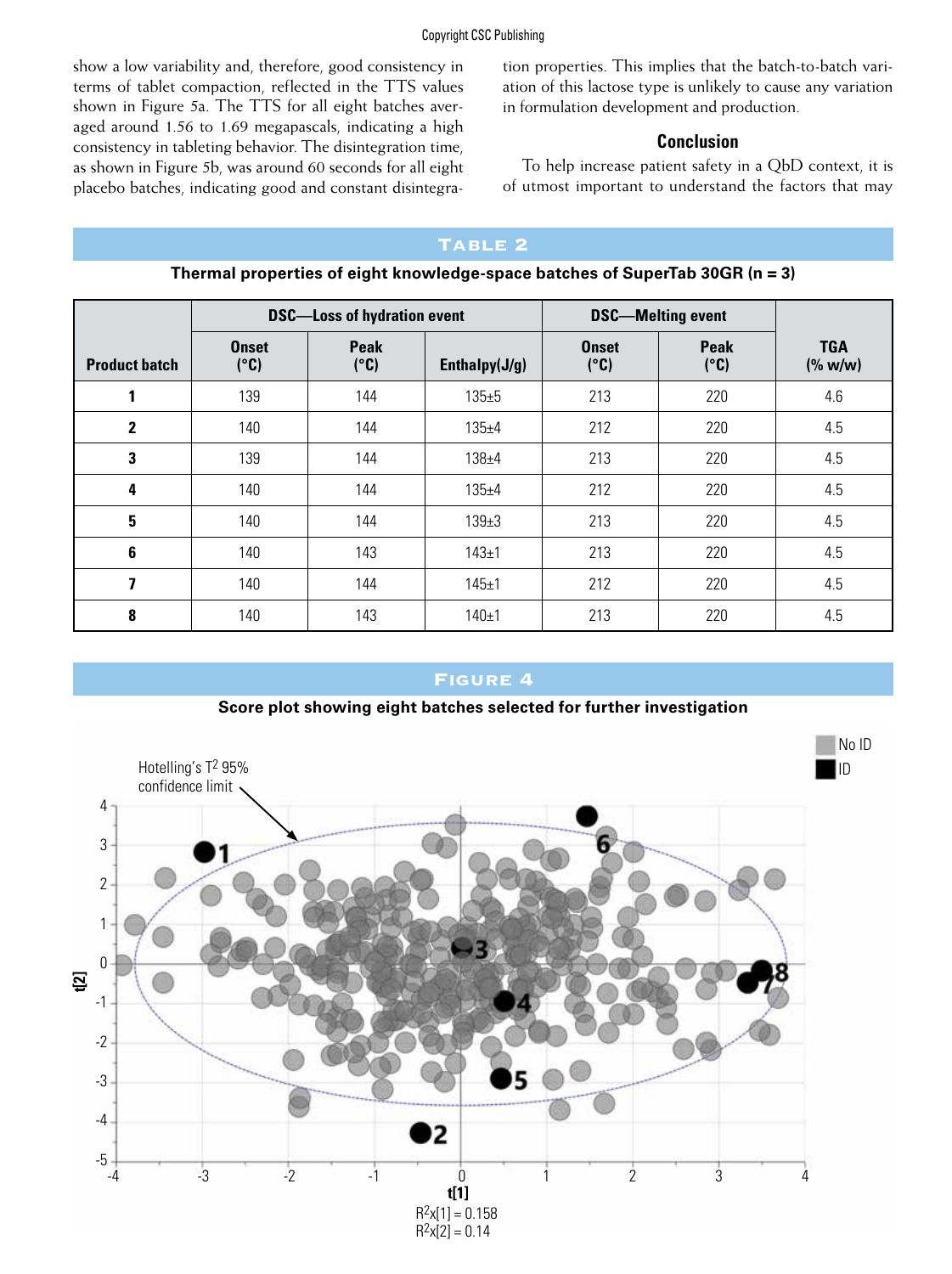show a low variability and, therefore, good consistency in terms of tablet compaction, reflected in the TTS values shown in Figure 5a. The TTS for all eight batches averaged around 1.56 to 1.69 megapascals, indicating a high consistency in tableting behavior. The disintegration time, as shown in Figure 5b, was around 60 seconds for all eight placebo batches, indicating good and constant disintegration properties. This implies that the batch-to-batch variation of this lactose type is unlikely to cause any variation in formulation development and production.

#### **Conclusion**

To help increase patient safety in a QbD context, it is of utmost important to understand the factors that may

# TABLE 2

|                      | <b>DSC-Loss of hydration event</b> |              |                  | <b>DSC-Melting event</b> |                     |                       |
|----------------------|------------------------------------|--------------|------------------|--------------------------|---------------------|-----------------------|
| <b>Product batch</b> | <b>Onset</b><br>(°C)               | Peak<br>(°C) | Enthalpy $(J/g)$ | <b>Onset</b><br>(°C)     | <b>Peak</b><br>(°C) | <b>TGA</b><br>(% w/w) |
|                      | 139                                | 144          | $135 + 5$        | 213                      | 220                 | 4.6                   |
| $\mathbf 2$          | 140                                | 144          | $135 + 4$        | 212                      | 220                 | 4.5                   |
| 3                    | 139                                | 144          | $138 + 4$        | 213                      | 220                 | 4.5                   |
| 4                    | 140                                | 144          | $135 + 4$        | 212                      | 220                 | 4.5                   |
| 5                    | 140                                | 144          | $139 + 3$        | 213                      | 220                 | 4.5                   |
| 6                    | 140                                | 143          | $143 + 1$        | 213                      | 220                 | 4.5                   |
| 7                    | 140                                | 144          | 145±1            | 212                      | 220                 | 4.5                   |
| 8                    | 140                                | 143          | $140 + 1$        | 213                      | 220                 | 4.5                   |

**Thermal properties of eight knowledge-space batches of SuperTab 30GR (n = 3)**

# Figure 4

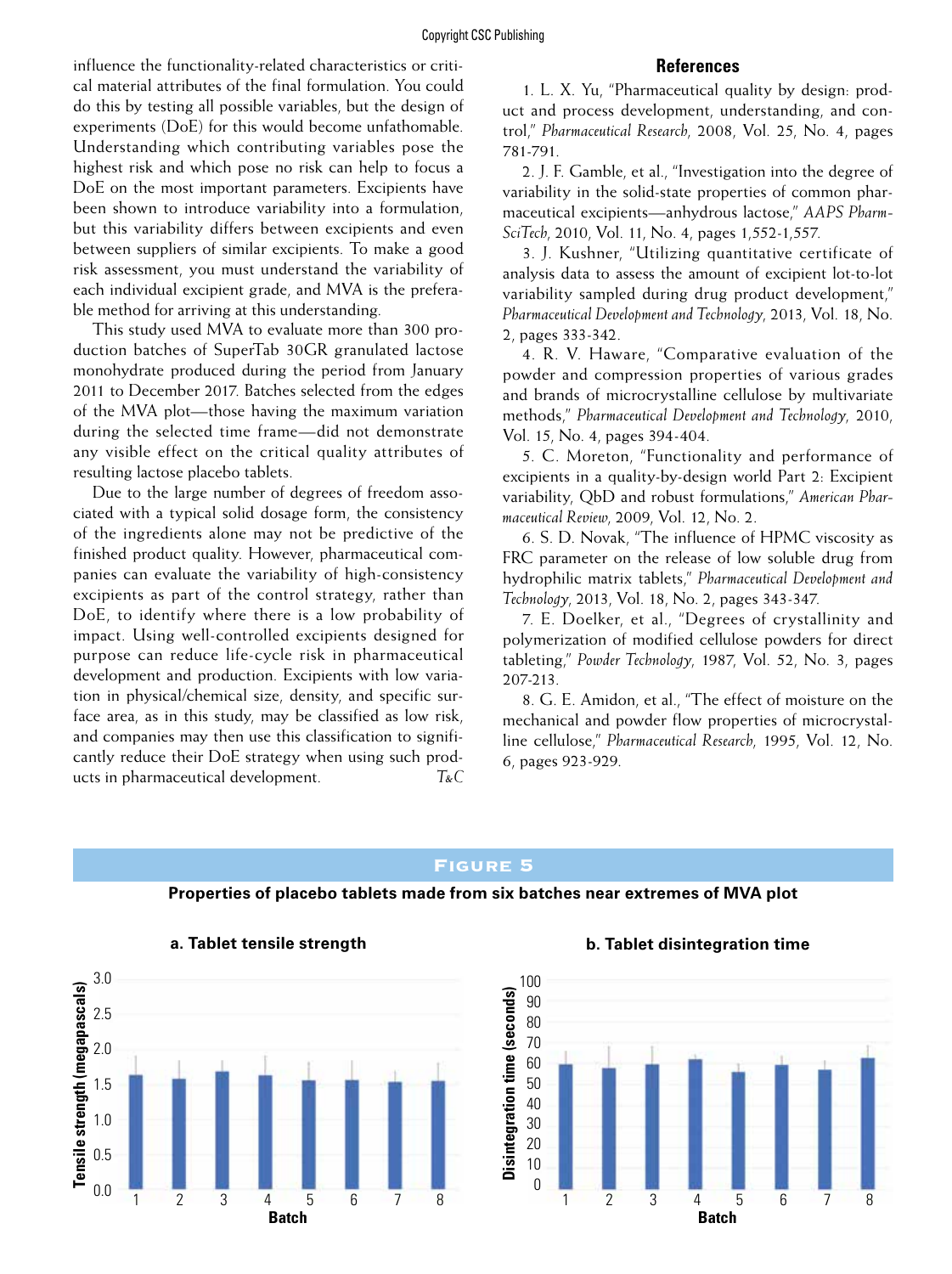#### **References**

influence the functionality-related characteristics or critical material attributes of the final formulation. You could do this by testing all possible variables, but the design of experiments (DoE) for this would become unfathomable. Understanding which contributing variables pose the highest risk and which pose no risk can help to focus a DoE on the most important parameters. Excipients have been shown to introduce variability into a formulation, but this variability differs between excipients and even between suppliers of similar excipients. To make a good risk assessment, you must understand the variability of each individual excipient grade, and MVA is the preferable method for arriving at this understanding.

This study used MVA to evaluate more than 300 production batches of SuperTab 30GR granulated lactose monohydrate produced during the period from January 2011 to December 2017. Batches selected from the edges of the MVA plot—those having the maximum variation during the selected time frame—did not demonstrate any visible effect on the critical quality attributes of resulting lactose placebo tablets.

Due to the large number of degrees of freedom associated with a typical solid dosage form, the consistency of the ingredients alone may not be predictive of the finished product quality. However, pharmaceutical companies can evaluate the variability of high-consistency excipients as part of the control strategy, rather than DoE, to identify where there is a low probability of impact. Using well-controlled excipients designed for purpose can reduce life-cycle risk in pharmaceutical development and production. Excipients with low variation in physical/chemical size, density, and specific surface area, as in this study, may be classified as low risk, and companies may then use this classification to significantly reduce their DoE strategy when using such products in pharmaceutical development. *T&C*

1. L. X. Yu, "Pharmaceutical quality by design: product and process development, understanding, and control," *Pharmaceutical Research*, 2008, Vol. 25, No. 4, pages 781-791.

2. J. F. Gamble, et al., "Investigation into the degree of variability in the solid-state properties of common pharmaceutical excipients—anhydrous lactose," *AAPS Pharm-SciTech*, 2010, Vol. 11, No. 4, pages 1,552-1,557.

3. J. Kushner, "Utilizing quantitative certificate of analysis data to assess the amount of excipient lot-to-lot variability sampled during drug product development," *Pharmaceutical Development and Technology*, 2013, Vol. 18, No. 2, pages 333-342.

4. R. V. Haware, "Comparative evaluation of the powder and compression properties of various grades and brands of microcrystalline cellulose by multivariate methods," *Pharmaceutical Development and Technology*, 2010, Vol. 15, No. 4, pages 394-404.

5. C. Moreton, "Functionality and performance of excipients in a quality-by-design world Part 2: Excipient variability, QbD and robust formulations," *American Pharmaceutical Review*, 2009, Vol. 12, No. 2.

6. S. D. Novak, "The influence of HPMC viscosity as FRC parameter on the release of low soluble drug from hydrophilic matrix tablets," *Pharmaceutical Development and Technology*, 2013, Vol. 18, No. 2, pages 343-347.

7. E. Doelker, et al., "Degrees of crystallinity and polymerization of modified cellulose powders for direct tableting," *Powder Technology*, 1987, Vol. 52, No. 3, pages 207-213.

8. G. E. Amidon, et al., "The effect of moisture on the mechanical and powder flow properties of microcrystalline cellulose," *Pharmaceutical Research*, 1995, Vol. 12, No. 6, pages 923-929.

### Figure 5

#### **Properties of placebo tablets made from six batches near extremes of MVA plot**



#### **a. Tablet tensile strength**

#### **b. Tablet disintegration time**